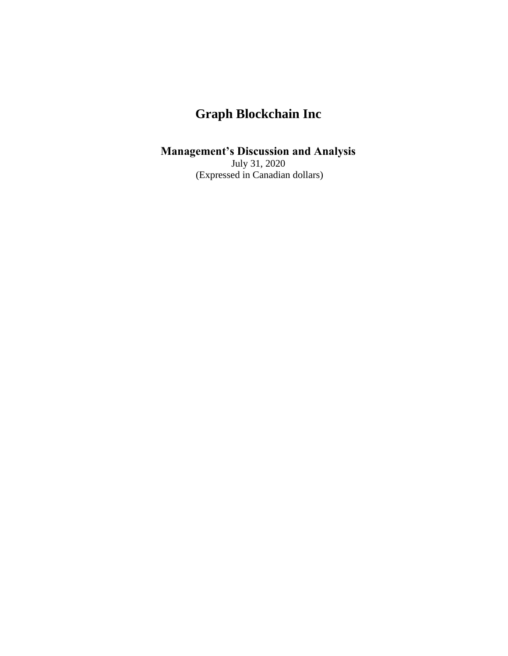# **Management's Discussion and Analysis**

July 31, 2020 (Expressed in Canadian dollars)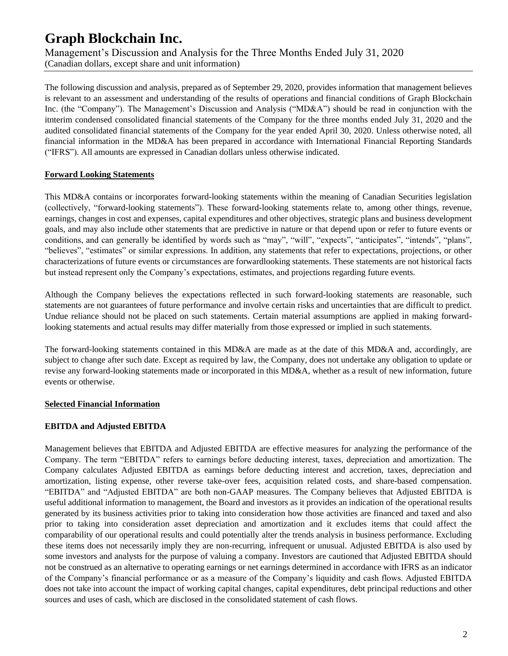Management's Discussion and Analysis for the Three Months Ended July 31, 2020 (Canadian dollars, except share and unit information)

The following discussion and analysis, prepared as of September 29, 2020, provides information that management believes is relevant to an assessment and understanding of the results of operations and financial conditions of Graph Blockchain Inc. (the "Company"). The Management's Discussion and Analysis ("MD&A") should be read in conjunction with the itnterim condensed consolidated financial statements of the Company for the three months ended July 31, 2020 and the audited consolidated financial statements of the Company for the year ended April 30, 2020. Unless otherwise noted, all financial information in the MD&A has been prepared in accordance with International Financial Reporting Standards ("IFRS"). All amounts are expressed in Canadian dollars unless otherwise indicated.

### **Forward Looking Statements**

This MD&A contains or incorporates forward-looking statements within the meaning of Canadian Securities legislation (collectively, "forward-looking statements"). These forward-looking statements relate to, among other things, revenue, earnings, changes in cost and expenses, capital expenditures and other objectives, strategic plans and business development goals, and may also include other statements that are predictive in nature or that depend upon or refer to future events or conditions, and can generally be identified by words such as "may", "will", "expects", "anticipates", "intends", "plans", "believes", "estimates" or similar expressions. In addition, any statements that refer to expectations, projections, or other characterizations of future events or circumstances are forwardlooking statements. These statements are not historical facts but instead represent only the Company's expectations, estimates, and projections regarding future events.

Although the Company believes the expectations reflected in such forward-looking statements are reasonable, such statements are not guarantees of future performance and involve certain risks and uncertainties that are difficult to predict. Undue reliance should not be placed on such statements. Certain material assumptions are applied in making forwardlooking statements and actual results may differ materially from those expressed or implied in such statements.

The forward-looking statements contained in this MD&A are made as at the date of this MD&A and, accordingly, are subject to change after such date. Except as required by law, the Company, does not undertake any obligation to update or revise any forward-looking statements made or incorporated in this MD&A, whether as a result of new information, future events or otherwise.

### **Selected Financial Information**

### **EBITDA and Adjusted EBITDA**

Management believes that EBITDA and Adjusted EBITDA are effective measures for analyzing the performance of the Company. The term "EBITDA" refers to earnings before deducting interest, taxes, depreciation and amortization. The Company calculates Adjusted EBITDA as earnings before deducting interest and accretion, taxes, depreciation and amortization, listing expense, other reverse take-over fees, acquisition related costs, and share-based compensation. "EBITDA" and "Adjusted EBITDA" are both non-GAAP measures. The Company believes that Adjusted EBITDA is useful additional information to management, the Board and investors as it provides an indication of the operational results generated by its business activities prior to taking into consideration how those activities are financed and taxed and also prior to taking into consideration asset depreciation and amortization and it excludes items that could affect the comparability of our operational results and could potentially alter the trends analysis in business performance. Excluding these items does not necessarily imply they are non-recurring, infrequent or unusual. Adjusted EBITDA is also used by some investors and analysts for the purpose of valuing a company. Investors are cautioned that Adjusted EBITDA should not be construed as an alternative to operating earnings or net earnings determined in accordance with IFRS as an indicator of the Company's financial performance or as a measure of the Company's liquidity and cash flows. Adjusted EBITDA does not take into account the impact of working capital changes, capital expenditures, debt principal reductions and other sources and uses of cash, which are disclosed in the consolidated statement of cash flows.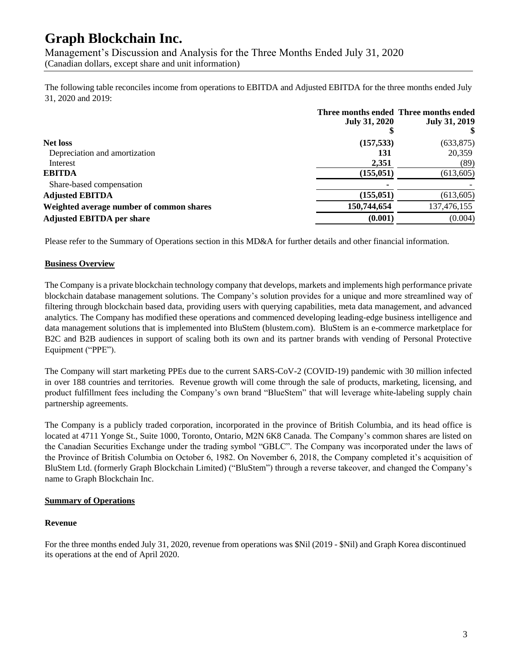Management's Discussion and Analysis for the Three Months Ended July 31, 2020 (Canadian dollars, except share and unit information)

The following table reconciles income from operations to EBITDA and Adjusted EBITDA for the three months ended July 31, 2020 and 2019:

|                                          | <b>July 31, 2020</b> | Three months ended Three months ended<br><b>July 31, 2019</b> |
|------------------------------------------|----------------------|---------------------------------------------------------------|
| <b>Net loss</b>                          | (157, 533)           | (633, 875)                                                    |
| Depreciation and amortization            | 131                  | 20,359                                                        |
| Interest                                 | 2,351                | (89)                                                          |
| <b>EBITDA</b>                            | (155, 051)           | (613, 605)                                                    |
| Share-based compensation                 |                      |                                                               |
| <b>Adjusted EBITDA</b>                   | (155, 051)           | (613, 605)                                                    |
| Weighted average number of common shares | 150,744,654          | 137,476,155                                                   |
| <b>Adjusted EBITDA per share</b>         | (0.001)              | (0.004)                                                       |

Please refer to the Summary of Operations section in this MD&A for further details and other financial information.

#### **Business Overview**

The Company is a private blockchain technology company that develops, markets and implements high performance private blockchain database management solutions. The Company's solution provides for a unique and more streamlined way of filtering through blockchain based data, providing users with querying capabilities, meta data management, and advanced analytics. The Company has modified these operations and commenced developing leading-edge business intelligence and data management solutions that is implemented into BluStem (blustem.com). BluStem is an e-commerce marketplace for B2C and B2B audiences in support of scaling both its own and its partner brands with vending of Personal Protective Equipment ("PPE").

The Company will start marketing PPEs due to the current SARS-CoV-2 (COVID-19) pandemic with 30 million infected in over 188 countries and territories. Revenue growth will come through the sale of products, marketing, licensing, and product fulfillment fees including the Company's own brand "BlueStem" that will leverage white-labeling supply chain partnership agreements.

The Company is a publicly traded corporation, incorporated in the province of British Columbia, and its head office is located at 4711 Yonge St., Suite 1000, Toronto, Ontario, M2N 6K8 Canada. The Company's common shares are listed on the Canadian Securities Exchange under the trading symbol "GBLC". The Company was incorporated under the laws of the Province of British Columbia on October 6, 1982. On November 6, 2018, the Company completed it's acquisition of BluStem Ltd. (formerly Graph Blockchain Limited) ("BluStem") through a reverse takeover, and changed the Company's name to Graph Blockchain Inc.

#### **Summary of Operations**

#### **Revenue**

For the three months ended July 31, 2020, revenue from operations was \$Nil (2019 - \$Nil) and Graph Korea discontinued its operations at the end of April 2020.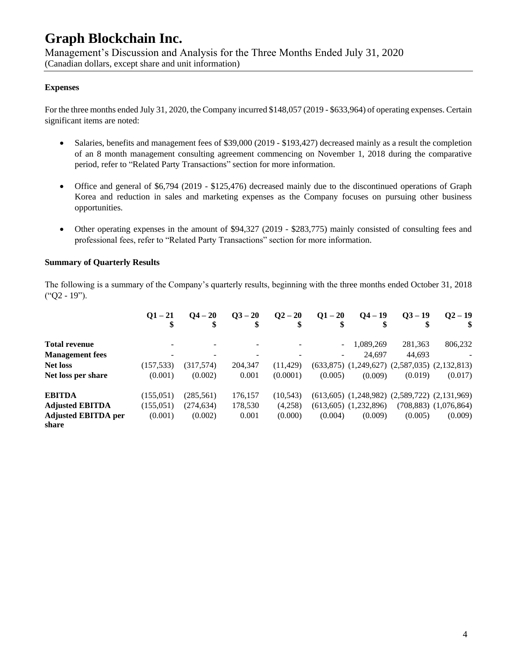Management's Discussion and Analysis for the Three Months Ended July 31, 2020 (Canadian dollars, except share and unit information)

#### **Expenses**

For the three months ended July 31, 2020, the Company incurred \$148,057 (2019 - \$633,964) of operating expenses. Certain significant items are noted:

- Salaries, benefits and management fees of \$39,000 (2019 \$193,427) decreased mainly as a result the completion of an 8 month management consulting agreement commencing on November 1, 2018 during the comparative period, refer to "Related Party Transactions" section for more information.
- Office and general of \$6,794 (2019 \$125,476) decreased mainly due to the discontinued operations of Graph Korea and reduction in sales and marketing expenses as the Company focuses on pursuing other business opportunities.
- Other operating expenses in the amount of \$94,327 (2019 \$283,775) mainly consisted of consulting fees and professional fees, refer to "Related Party Transactions" section for more information.

#### **Summary of Quarterly Results**

The following is a summary of the Company's quarterly results, beginning with the three months ended October 31, 2018 ("Q2 - 19").

|                                     | $O1 - 21$  | $Q_4 - 20$ | $Q_{}^3 - 20$ | $Q^2 - 20$ | $Q1 - 20$ | $Q_4 - 19$<br>\$          | $03 - 19$ | $Q2 - 19$                                             |
|-------------------------------------|------------|------------|---------------|------------|-----------|---------------------------|-----------|-------------------------------------------------------|
| <b>Total revenue</b>                |            |            |               |            |           | 1,089,269                 | 281,363   | 806,232                                               |
| <b>Management</b> fees              | -          |            |               |            |           | 24.697                    | 44.693    |                                                       |
| <b>Net loss</b>                     | (157, 533) | (317,574)  | 204,347       | (11, 429)  |           |                           |           | $(633,875)$ $(1,249,627)$ $(2,587,035)$ $(2,132,813)$ |
| Net loss per share                  | (0.001)    | (0.002)    | 0.001         | (0.0001)   | (0.005)   | (0.009)                   | (0.019)   | (0.017)                                               |
| <b>EBITDA</b>                       | (155.051)  | (285, 561) | 176,157       | (10, 543)  |           |                           |           | $(613,605)$ $(1,248,982)$ $(2,589,722)$ $(2,131,969)$ |
| <b>Adjusted EBITDA</b>              | (155, 051) | (274, 634) | 178,530       | (4,258)    |           | $(613,605)$ $(1,232,896)$ |           | $(708,883)$ $(1,076,864)$                             |
| <b>Adjusted EBITDA per</b><br>share | (0.001)    | (0.002)    | 0.001         | (0.000)    | (0.004)   | (0.009)                   | (0.005)   | (0.009)                                               |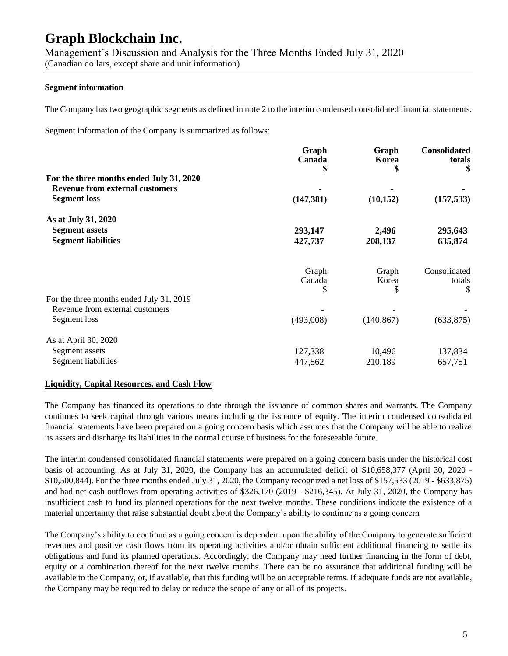Management's Discussion and Analysis for the Three Months Ended July 31, 2020 (Canadian dollars, except share and unit information)

#### **Segment information**

The Company has two geographic segments as defined in note 2 to the interim condensed consolidated financial statements.

Segment information of the Company is summarized as follows:

|                                          | Graph<br>Canada<br>5 | Graph<br>Korea | Consolidated<br>totals<br>\$ |
|------------------------------------------|----------------------|----------------|------------------------------|
| For the three months ended July 31, 2020 |                      |                |                              |
| <b>Revenue from external customers</b>   |                      |                |                              |
| <b>Segment</b> loss                      | (147, 381)           | (10, 152)      | (157, 533)                   |
| As at July 31, 2020                      |                      |                |                              |
| <b>Segment assets</b>                    | 293,147              | 2,496          | 295,643                      |
| <b>Segment liabilities</b>               | 427,737              | 208,137        | 635,874                      |
|                                          | Graph                | Graph          | Consolidated                 |
|                                          | Canada               | Korea          | totals                       |
|                                          | S                    | \$             | \$                           |
| For the three months ended July 31, 2019 |                      |                |                              |
| Revenue from external customers          |                      |                |                              |
| Segment loss                             | (493,008)            | (140, 867)     | (633, 875)                   |
| As at April 30, 2020                     |                      |                |                              |
| Segment assets                           | 127,338              | 10,496         | 137,834                      |
| Segment liabilities                      | 447,562              | 210,189        | 657,751                      |
|                                          |                      |                |                              |

#### **Liquidity, Capital Resources, and Cash Flow**

The Company has financed its operations to date through the issuance of common shares and warrants. The Company continues to seek capital through various means including the issuance of equity. The interim condensed consolidated financial statements have been prepared on a going concern basis which assumes that the Company will be able to realize its assets and discharge its liabilities in the normal course of business for the foreseeable future.

The interim condensed consolidated financial statements were prepared on a going concern basis under the historical cost basis of accounting. As at July 31, 2020, the Company has an accumulated deficit of \$10,658,377 (April 30, 2020 - \$10,500,844). For the three months ended July 31, 2020, the Company recognized a net loss of \$157,533 (2019 - \$633,875) and had net cash outflows from operating activities of \$326,170 (2019 - \$216,345). At July 31, 2020, the Company has insufficient cash to fund its planned operations for the next twelve months. These conditions indicate the existence of a material uncertainty that raise substantial doubt about the Company's ability to continue as a going concern

The Company's ability to continue as a going concern is dependent upon the ability of the Company to generate sufficient revenues and positive cash flows from its operating activities and/or obtain sufficient additional financing to settle its obligations and fund its planned operations. Accordingly, the Company may need further financing in the form of debt, equity or a combination thereof for the next twelve months. There can be no assurance that additional funding will be available to the Company, or, if available, that this funding will be on acceptable terms. If adequate funds are not available, the Company may be required to delay or reduce the scope of any or all of its projects.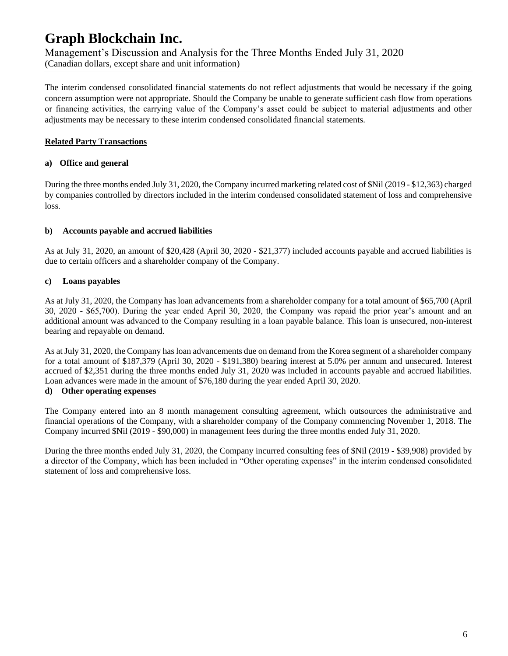# **Graph Blockchain Inc.** Management's Discussion and Analysis for the Three Months Ended July 31, 2020 (Canadian dollars, except share and unit information)

The interim condensed consolidated financial statements do not reflect adjustments that would be necessary if the going

concern assumption were not appropriate. Should the Company be unable to generate sufficient cash flow from operations or financing activities, the carrying value of the Company's asset could be subject to material adjustments and other adjustments may be necessary to these interim condensed consolidated financial statements.

# **Related Party Transactions**

# **a) Office and general**

During the three months ended July 31, 2020, the Company incurred marketing related cost of \$Nil (2019 - \$12,363) charged by companies controlled by directors included in the interim condensed consolidated statement of loss and comprehensive loss.

# **b) Accounts payable and accrued liabilities**

As at July 31, 2020, an amount of \$20,428 (April 30, 2020 - \$21,377) included accounts payable and accrued liabilities is due to certain officers and a shareholder company of the Company.

# **c) Loans payables**

As at July 31, 2020, the Company has loan advancements from a shareholder company for a total amount of \$65,700 (April 30, 2020 - \$65,700). During the year ended April 30, 2020, the Company was repaid the prior year's amount and an additional amount was advanced to the Company resulting in a loan payable balance. This loan is unsecured, non-interest bearing and repayable on demand.

As at July 31, 2020, the Company has loan advancements due on demand from the Korea segment of a shareholder company for a total amount of \$187,379 (April 30, 2020 - \$191,380) bearing interest at 5.0% per annum and unsecured. Interest accrued of \$2,351 during the three months ended July 31, 2020 was included in accounts payable and accrued liabilities. Loan advances were made in the amount of \$76,180 during the year ended April 30, 2020.

### **d) Other operating expenses**

The Company entered into an 8 month management consulting agreement, which outsources the administrative and financial operations of the Company, with a shareholder company of the Company commencing November 1, 2018. The Company incurred \$Nil (2019 - \$90,000) in management fees during the three months ended July 31, 2020.

During the three months ended July 31, 2020, the Company incurred consulting fees of \$Nil (2019 - \$39,908) provided by a director of the Company, which has been included in "Other operating expenses" in the interim condensed consolidated statement of loss and comprehensive loss.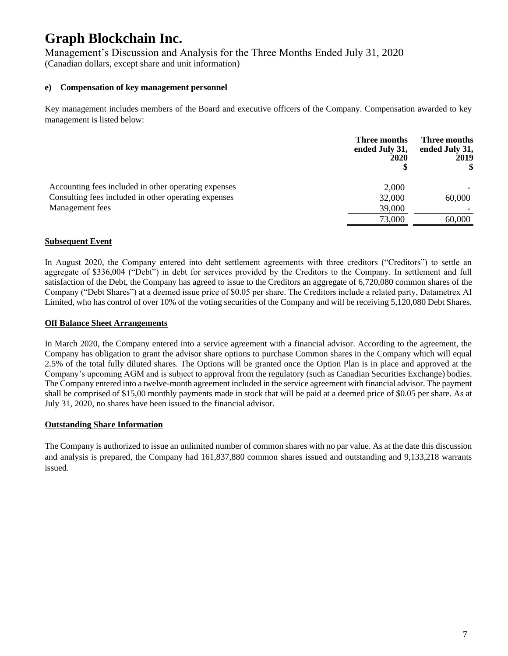Management's Discussion and Analysis for the Three Months Ended July 31, 2020 (Canadian dollars, except share and unit information)

#### **e) Compensation of key management personnel**

Key management includes members of the Board and executive officers of the Company. Compensation awarded to key management is listed below:

|                                                      | Three months<br>ended July 31,<br>2020 | Three months<br>ended July 31,<br>2019 |
|------------------------------------------------------|----------------------------------------|----------------------------------------|
| Accounting fees included in other operating expenses | 2,000                                  |                                        |
| Consulting fees included in other operating expenses | 32,000                                 | 60,000                                 |
| Management fees                                      | 39,000                                 |                                        |
|                                                      | 73,000                                 | 60,000                                 |

#### **Subsequent Event**

In August 2020, the Company entered into debt settlement agreements with three creditors ("Creditors") to settle an aggregate of \$336,004 ("Debt") in debt for services provided by the Creditors to the Company. In settlement and full satisfaction of the Debt, the Company has agreed to issue to the Creditors an aggregate of 6,720,080 common shares of the Company ("Debt Shares") at a deemed issue price of \$0.05 per share. The Creditors include a related party, Datametrex AI Limited, who has control of over 10% of the voting securities of the Company and will be receiving 5,120,080 Debt Shares.

#### **Off Balance Sheet Arrangements**

In March 2020, the Company entered into a service agreement with a financial advisor. According to the agreement, the Company has obligation to grant the advisor share options to purchase Common shares in the Company which will equal 2.5% of the total fully diluted shares. The Options will be granted once the Option Plan is in place and approved at the Company's upcoming AGM and is subject to approval from the regulatory (such as Canadian Securities Exchange) bodies. The Company entered into a twelve-month agreement included in the service agreement with financial advisor. The payment shall be comprised of \$15,00 monthly payments made in stock that will be paid at a deemed price of \$0.05 per share. As at July 31, 2020, no shares have been issued to the financial advisor.

#### **Outstanding Share Information**

The Company is authorized to issue an unlimited number of common shares with no par value. As at the date this discussion and analysis is prepared, the Company had 161,837,880 common shares issued and outstanding and 9,133,218 warrants issued.